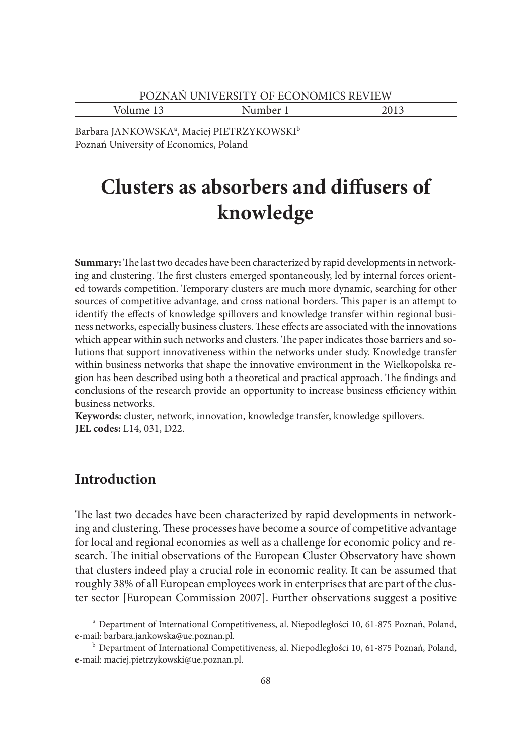Volume 13 Number 1 2013

Barbara JANKOWSKA<sup>a</sup>, Maciej PIETRZYKOWSKI<sup>b</sup> Poznań University of Economics, Poland

# **Clusters as absorbers and diffusers of knowledge**

**Summary:** The last two decades have been characterized by rapid developments in networking and clustering. The first clusters emerged spontaneously, led by internal forces oriented towards competition. Temporary clusters are much more dynamic, searching for other sources of competitive advantage, and cross national borders. This paper is an attempt to identify the effects of knowledge spillovers and knowledge transfer within regional business networks, especially business clusters. These effects are associated with the innovations which appear within such networks and clusters. The paper indicates those barriers and solutions that support innovativeness within the networks under study. Knowledge transfer within business networks that shape the innovative environment in the Wielkopolska region has been described using both a theoretical and practical approach. The findings and conclusions of the research provide an opportunity to increase business efficiency within business networks.

**Keywords:** cluster, network, innovation, knowledge transfer, knowledge spillovers. **JEL codes:** L14, 031, D22.

# **Introduction**

The last two decades have been characterized by rapid developments in networking and clustering. These processes have become a source of competitive advantage for local and regional economies as well as a challenge for economic policy and research. The initial observations of the European Cluster Observatory have shown that clusters indeed play a crucial role in economic reality. It can be assumed that roughly 38% of all European employees work in enterprises that are part of the cluster sector [European Commission 2007]. Further observations suggest a positive

a Department of International Competitiveness, al. Niepodległości 10, 61-875 Poznań, Poland, e-mail: barbara.jankowska@ue.poznan.pl.<br><sup>b</sup> Department of International Competitiveness, al. Niepodległości 10, 61-875 Poznań, Poland,

e-mail: maciej.pietrzykowski@ue.poznan.pl.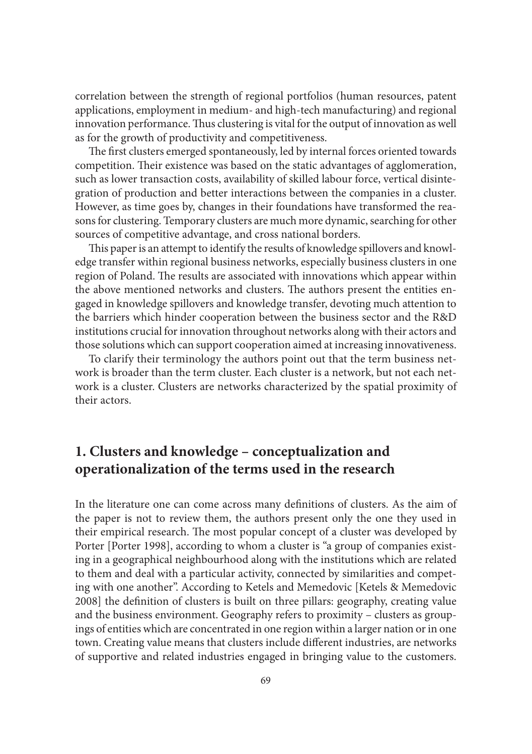correlation between the strength of regional portfolios (human resources, patent applications, employment in medium- and high-tech manufacturing) and regional innovation performance. Thus clustering is vital for the output of innovation as well as for the growth of productivity and competitiveness.

The first clusters emerged spontaneously, led by internal forces oriented towards competition. Their existence was based on the static advantages of agglomeration, such as lower transaction costs, availability of skilled labour force, vertical disintegration of production and better interactions between the companies in a cluster. However, as time goes by, changes in their foundations have transformed the reasons for clustering. Temporary clusters are much more dynamic, searching for other sources of competitive advantage, and cross national borders.

This paper is an attempt to identify the results of knowledge spillovers and knowledge transfer within regional business networks, especially business clusters in one region of Poland. The results are associated with innovations which appear within the above mentioned networks and clusters. The authors present the entities engaged in knowledge spillovers and knowledge transfer, devoting much attention to the barriers which hinder cooperation between the business sector and the R&D institutions crucial for innovation throughout networks along with their actors and those solutions which can support cooperation aimed at increasing innovativeness.

To clarify their terminology the authors point out that the term business network is broader than the term cluster. Each cluster is a network, but not each network is a cluster. Clusters are networks characterized by the spatial proximity of their actors.

# **1. Clusters and knowledge – conceptualization and operationalization of the terms used in the research**

In the literature one can come across many definitions of clusters. As the aim of the paper is not to review them, the authors present only the one they used in their empirical research. The most popular concept of a cluster was developed by Porter [Porter 1998], according to whom a cluster is "a group of companies existing in a geographical neighbourhood along with the institutions which are related to them and deal with a particular activity, connected by similarities and competing with one another". According to Ketels and Memedovic [Ketels & Memedovic 2008] the definition of clusters is built on three pillars: geography, creating value and the business environment. Geography refers to proximity – clusters as groupings of entities which are concentrated in one region within a larger nation or in one town. Creating value means that clusters include different industries, are networks of supportive and related industries engaged in bringing value to the customers.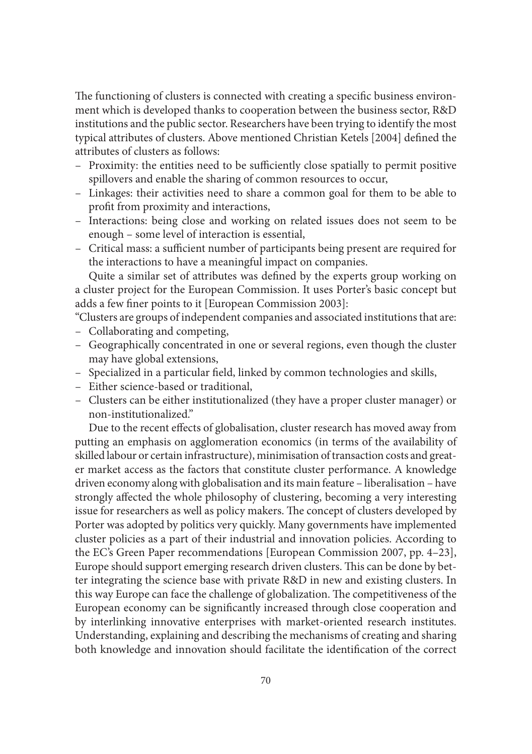The functioning of clusters is connected with creating a specific business environment which is developed thanks to cooperation between the business sector, R&D institutions and the public sector. Researchers have been trying to identify the most typical attributes of clusters. Above mentioned Christian Ketels [2004] defined the attributes of clusters as follows:

- Proximity: the entities need to be sufficiently close spatially to permit positive spillovers and enable the sharing of common resources to occur,
- Linkages: their activities need to share a common goal for them to be able to profit from proximity and interactions,
- Interactions: being close and working on related issues does not seem to be enough – some level of interaction is essential,
- Critical mass: a sufficient number of participants being present are required for the interactions to have a meaningful impact on companies.

Quite a similar set of attributes was defined by the experts group working on a cluster project for the European Commission. It uses Porter's basic concept but adds a few finer points to it [European Commission 2003]:

"Clusters are groups of independent companies and associated institutions that are:

- Collaborating and competing,
- Geographically concentrated in one or several regions, even though the cluster may have global extensions,
- Specialized in a particular field, linked by common technologies and skills,
- Either science-based or traditional,
- Clusters can be either institutionalized (they have a proper cluster manager) or non-institutionalized."

Due to the recent effects of globalisation, cluster research has moved away from putting an emphasis on agglomeration economics (in terms of the availability of skilled labour or certain infrastructure), minimisation of transaction costs and greater market access as the factors that constitute cluster performance. A knowledge driven economy along with globalisation and its main feature – liberalisation – have strongly affected the whole philosophy of clustering, becoming a very interesting issue for researchers as well as policy makers. The concept of clusters developed by Porter was adopted by politics very quickly. Many governments have implemented cluster policies as a part of their industrial and innovation policies. According to the EC's Green Paper recommendations [European Commission 2007, pp. 4–23], Europe should support emerging research driven clusters. This can be done by better integrating the science base with private R&D in new and existing clusters. In this way Europe can face the challenge of globalization. The competitiveness of the European economy can be significantly increased through close cooperation and by interlinking innovative enterprises with market-oriented research institutes. Understanding, explaining and describing the mechanisms of creating and sharing both knowledge and innovation should facilitate the identification of the correct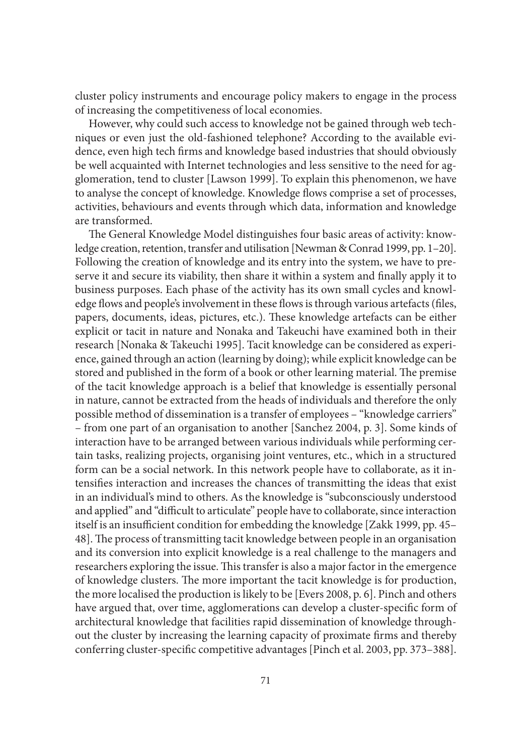cluster policy instruments and encourage policy makers to engage in the process of increasing the competitiveness of local economies.

However, why could such access to knowledge not be gained through web techniques or even just the old-fashioned telephone? According to the available evidence, even high tech firms and knowledge based industries that should obviously be well acquainted with Internet technologies and less sensitive to the need for agglomeration, tend to cluster [Lawson 1999]. To explain this phenomenon, we have to analyse the concept of knowledge. Knowledge flows comprise a set of processes, activities, behaviours and events through which data, information and knowledge are transformed.

The General Knowledge Model distinguishes four basic areas of activity: knowledge creation, retention, transfer and utilisation [Newman & Conrad 1999, pp. 1–20]. Following the creation of knowledge and its entry into the system, we have to preserve it and secure its viability, then share it within a system and finally apply it to business purposes. Each phase of the activity has its own small cycles and knowledge flows and people's involvement in these flows is through various artefacts (files, papers, documents, ideas, pictures, etc.). These knowledge artefacts can be either explicit or tacit in nature and Nonaka and Takeuchi have examined both in their research [Nonaka & Takeuchi 1995]. Tacit knowledge can be considered as experience, gained through an action (learning by doing); while explicit knowledge can be stored and published in the form of a book or other learning material. The premise of the tacit knowledge approach is a belief that knowledge is essentially personal in nature, cannot be extracted from the heads of individuals and therefore the only possible method of dissemination is a transfer of employees – "knowledge carriers" – from one part of an organisation to another [Sanchez 2004, p. 3]. Some kinds of interaction have to be arranged between various individuals while performing certain tasks, realizing projects, organising joint ventures, etc., which in a structured form can be a social network. In this network people have to collaborate, as it intensifies interaction and increases the chances of transmitting the ideas that exist in an individual's mind to others. As the knowledge is "subconsciously understood and applied" and "difficult to articulate" people have to collaborate, since interaction itself is an insufficient condition for embedding the knowledge [Zakk 1999, pp. 45– 48]. The process of transmitting tacit knowledge between people in an organisation and its conversion into explicit knowledge is a real challenge to the managers and researchers exploring the issue. This transfer is also a major factor in the emergence of knowledge clusters. The more important the tacit knowledge is for production, the more localised the production is likely to be [Evers 2008, p. 6]. Pinch and others have argued that, over time, agglomerations can develop a cluster-specific form of architectural knowledge that facilities rapid dissemination of knowledge throughout the cluster by increasing the learning capacity of proximate firms and thereby conferring cluster-specific competitive advantages [Pinch et al. 2003, pp. 373–388].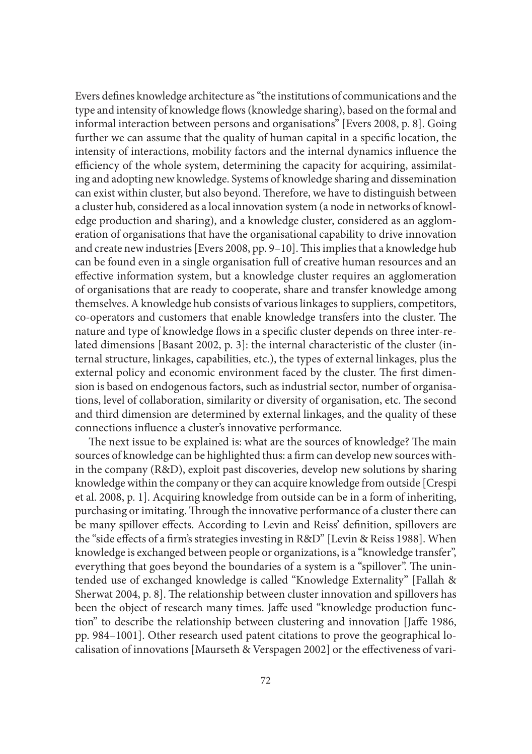Evers defines knowledge architecture as "the institutions of communications and the type and intensity of knowledge flows (knowledge sharing), based on the formal and informal interaction between persons and organisations" [Evers 2008, p. 8]. Going further we can assume that the quality of human capital in a specific location, the intensity of interactions, mobility factors and the internal dynamics influence the efficiency of the whole system, determining the capacity for acquiring, assimilating and adopting new knowledge. Systems of knowledge sharing and dissemination can exist within cluster, but also beyond. Therefore, we have to distinguish between a cluster hub, considered as a local innovation system (a node in networks of knowledge production and sharing), and a knowledge cluster, considered as an agglomeration of organisations that have the organisational capability to drive innovation and create new industries [Evers 2008, pp. 9-10]. This implies that a knowledge hub can be found even in a single organisation full of creative human resources and an effective information system, but a knowledge cluster requires an agglomeration of organisations that are ready to cooperate, share and transfer knowledge among themselves. A knowledge hub consists of various linkages to suppliers, competitors, co-operators and customers that enable knowledge transfers into the cluster. The nature and type of knowledge flows in a specific cluster depends on three inter-related dimensions [Basant 2002, p. 3]: the internal characteristic of the cluster (internal structure, linkages, capabilities, etc.), the types of external linkages, plus the external policy and economic environment faced by the cluster. The first dimension is based on endogenous factors, such as industrial sector, number of organisations, level of collaboration, similarity or diversity of organisation, etc. The second and third dimension are determined by external linkages, and the quality of these connections influence a cluster's innovative performance.

The next issue to be explained is: what are the sources of knowledge? The main sources of knowledge can be highlighted thus: a firm can develop new sources within the company (R&D), exploit past discoveries, develop new solutions by sharing knowledge within the company or they can acquire knowledge from outside [Crespi et al. 2008, p. 1]. Acquiring knowledge from outside can be in a form of inheriting, purchasing or imitating. Through the innovative performance of a cluster there can be many spillover effects. According to Levin and Reiss' definition, spillovers are the "side effects of a firm's strategies investing in R&D" [Levin & Reiss 1988]. When knowledge is exchanged between people or organizations, is a "knowledge transfer", everything that goes beyond the boundaries of a system is a "spillover". The unintended use of exchanged knowledge is called "Knowledge Externality" [Fallah & Sherwat 2004, p. 8]. The relationship between cluster innovation and spillovers has been the object of research many times. Jaffe used "knowledge production function" to describe the relationship between clustering and innovation [Jaffe 1986, pp. 984–1001]. Other research used patent citations to prove the geographical localisation of innovations [Maurseth & Verspagen 2002] or the effectiveness of vari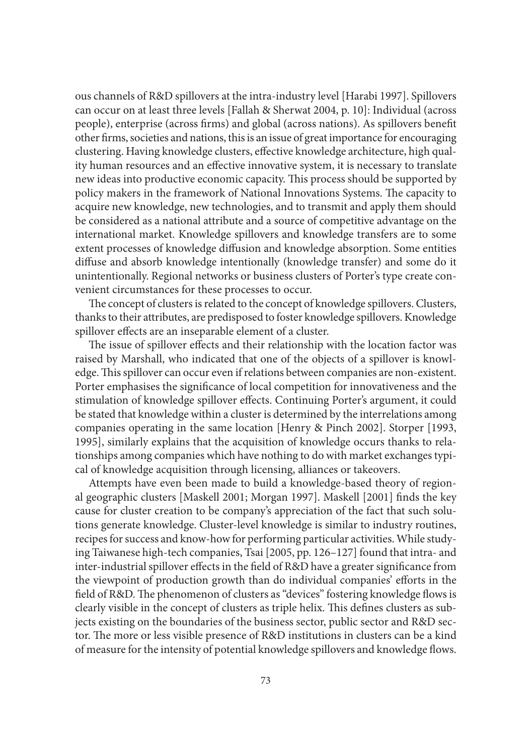ous channels of R&D spillovers at the intra-industry level [Harabi 1997]. Spillovers can occur on at least three levels [Fallah & Sherwat 2004, p. 10]: Individual (across people), enterprise (across firms) and global (across nations). As spillovers benefit other firms, societies and nations, this is an issue of great importance for encouraging clustering. Having knowledge clusters, effective knowledge architecture, high quality human resources and an effective innovative system, it is necessary to translate new ideas into productive economic capacity. This process should be supported by policy makers in the framework of National Innovations Systems. The capacity to acquire new knowledge, new technologies, and to transmit and apply them should be considered as a national attribute and a source of competitive advantage on the international market. Knowledge spillovers and knowledge transfers are to some extent processes of knowledge diffusion and knowledge absorption. Some entities diffuse and absorb knowledge intentionally (knowledge transfer) and some do it unintentionally. Regional networks or business clusters of Porter's type create convenient circumstances for these processes to occur.

The concept of clusters is related to the concept of knowledge spillovers. Clusters, thanks to their attributes, are predisposed to foster knowledge spillovers. Knowledge spillover effects are an inseparable element of a cluster.

The issue of spillover effects and their relationship with the location factor was raised by Marshall, who indicated that one of the objects of a spillover is knowledge. This spillover can occur even if relations between companies are non-existent. Porter emphasises the significance of local competition for innovativeness and the stimulation of knowledge spillover effects. Continuing Porter's argument, it could be stated that knowledge within a cluster is determined by the interrelations among companies operating in the same location [Henry & Pinch 2002]. Storper [1993, 1995], similarly explains that the acquisition of knowledge occurs thanks to relationships among companies which have nothing to do with market exchanges typical of knowledge acquisition through licensing, alliances or takeovers.

Attempts have even been made to build a knowledge-based theory of regional geographic clusters [Maskell 2001; Morgan 1997]. Maskell [2001] finds the key cause for cluster creation to be company's appreciation of the fact that such solutions generate knowledge. Cluster-level knowledge is similar to industry routines, recipes for success and know-how for performing particular activities. While studying Taiwanese high-tech companies, Tsai [2005, pp. 126–127] found that intra- and inter-industrial spillover effects in the field of R&D have a greater significance from the viewpoint of production growth than do individual companies' efforts in the field of R&D. The phenomenon of clusters as "devices" fostering knowledge flows is clearly visible in the concept of clusters as triple helix. This defines clusters as subjects existing on the boundaries of the business sector, public sector and R&D sector. The more or less visible presence of R&D institutions in clusters can be a kind of measure for the intensity of potential knowledge spillovers and knowledge flows.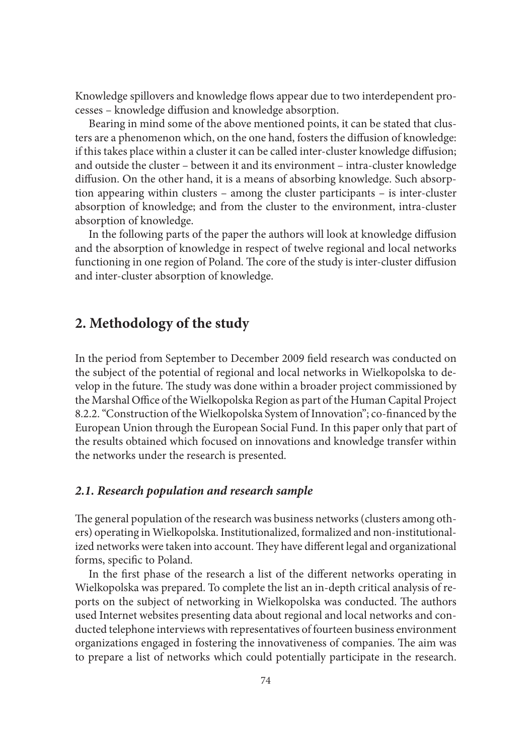Knowledge spillovers and knowledge flows appear due to two interdependent processes – knowledge diffusion and knowledge absorption.

Bearing in mind some of the above mentioned points, it can be stated that clusters are a phenomenon which, on the one hand, fosters the diffusion of knowledge: if this takes place within a cluster it can be called inter-cluster knowledge diffusion; and outside the cluster – between it and its environment – intra-cluster knowledge diffusion. On the other hand, it is a means of absorbing knowledge. Such absorption appearing within clusters – among the cluster participants – is inter-cluster absorption of knowledge; and from the cluster to the environment, intra-cluster absorption of knowledge.

In the following parts of the paper the authors will look at knowledge diffusion and the absorption of knowledge in respect of twelve regional and local networks functioning in one region of Poland. The core of the study is inter-cluster diffusion and inter-cluster absorption of knowledge.

# **2. Methodology of the study**

In the period from September to December 2009 field research was conducted on the subject of the potential of regional and local networks in Wielkopolska to develop in the future. The study was done within a broader project commissioned by the Marshal Office of the Wielkopolska Region as part of the Human Capital Project 8.2.2. "Construction of the Wielkopolska System of Innovation"; co-financed by the European Union through the European Social Fund. In this paper only that part of the results obtained which focused on innovations and knowledge transfer within the networks under the research is presented.

### *2.1. Research population and research sample*

The general population of the research was business networks (clusters among others) operating in Wielkopolska. Institutionalized, formalized and non-institutionalized networks were taken into account. They have different legal and organizational forms, specific to Poland.

In the first phase of the research a list of the different networks operating in Wielkopolska was prepared. To complete the list an in-depth critical analysis of reports on the subject of networking in Wielkopolska was conducted. The authors used Internet websites presenting data about regional and local networks and conducted telephone interviews with representatives of fourteen business environment organizations engaged in fostering the innovativeness of companies. The aim was to prepare a list of networks which could potentially participate in the research.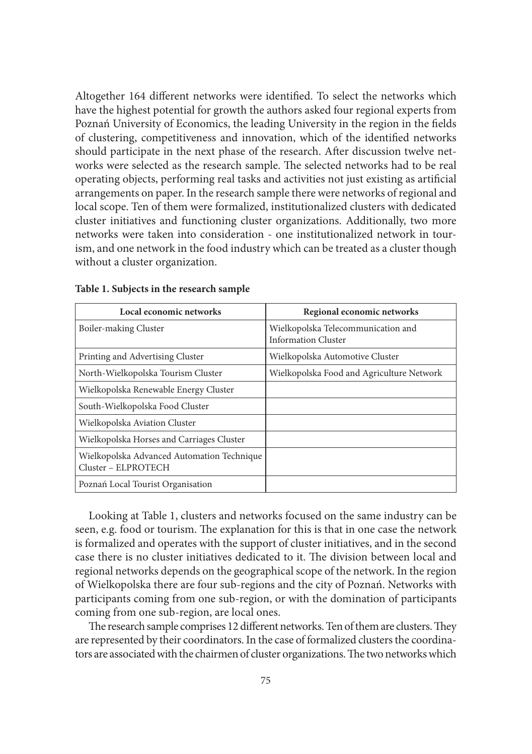Altogether 164 different networks were identified. To select the networks which have the highest potential for growth the authors asked four regional experts from Poznań University of Economics, the leading University in the region in the fields of clustering, competitiveness and innovation, which of the identified networks should participate in the next phase of the research. After discussion twelve networks were selected as the research sample. The selected networks had to be real operating objects, performing real tasks and activities not just existing as artificial arrangements on paper. In the research sample there were networks of regional and local scope. Ten of them were formalized, institutionalized clusters with dedicated cluster initiatives and functioning cluster organizations. Additionally, two more networks were taken into consideration - one institutionalized network in tourism, and one network in the food industry which can be treated as a cluster though without a cluster organization.

| Local economic networks                                           | Regional economic networks                                       |
|-------------------------------------------------------------------|------------------------------------------------------------------|
| Boiler-making Cluster                                             | Wielkopolska Telecommunication and<br><b>Information Cluster</b> |
| Printing and Advertising Cluster                                  | Wielkopolska Automotive Cluster                                  |
| North-Wielkopolska Tourism Cluster                                | Wielkopolska Food and Agriculture Network                        |
| Wielkopolska Renewable Energy Cluster                             |                                                                  |
| South-Wielkopolska Food Cluster                                   |                                                                  |
| Wielkopolska Aviation Cluster                                     |                                                                  |
| Wielkopolska Horses and Carriages Cluster                         |                                                                  |
| Wielkopolska Advanced Automation Technique<br>Cluster - ELPROTECH |                                                                  |
| Poznań Local Tourist Organisation                                 |                                                                  |

|  |  |  |  |  |  |  | Table 1. Subjects in the research sample |  |  |
|--|--|--|--|--|--|--|------------------------------------------|--|--|
|--|--|--|--|--|--|--|------------------------------------------|--|--|

Looking at Table 1, clusters and networks focused on the same industry can be seen, e.g. food or tourism. The explanation for this is that in one case the network is formalized and operates with the support of cluster initiatives, and in the second case there is no cluster initiatives dedicated to it. The division between local and regional networks depends on the geographical scope of the network. In the region of Wielkopolska there are four sub-regions and the city of Poznań. Networks with participants coming from one sub-region, or with the domination of participants coming from one sub-region, are local ones.

The research sample comprises 12 different networks. Ten of them are clusters. They are represented by their coordinators. In the case of formalized clusters the coordinators are associated with the chairmen of cluster organizations. The two networks which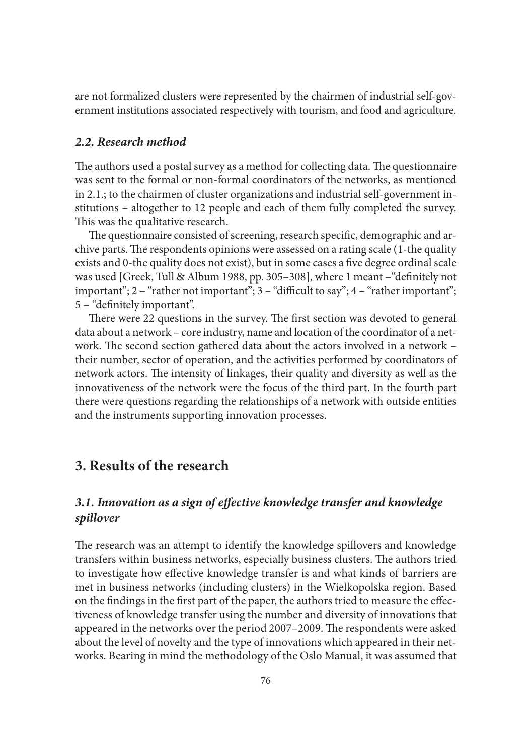are not formalized clusters were represented by the chairmen of industrial self-government institutions associated respectively with tourism, and food and agriculture.

### *2.2. Research method*

The authors used a postal survey as a method for collecting data. The questionnaire was sent to the formal or non-formal coordinators of the networks, as mentioned in 2.1.; to the chairmen of cluster organizations and industrial self-government institutions – altogether to 12 people and each of them fully completed the survey. This was the qualitative research.

The questionnaire consisted of screening, research specific, demographic and archive parts. The respondents opinions were assessed on a rating scale (1-the quality exists and 0-the quality does not exist), but in some cases a five degree ordinal scale was used [Greek, Tull & Album 1988, pp. 305-308], where 1 meant - "definitely not important";  $2 -$ "rather not important";  $3 -$ "difficult to say";  $4 -$ "rather important"; 5 – "definitely important".

There were 22 questions in the survey. The first section was devoted to general data about a network – core industry, name and location of the coordinator of a network. The second section gathered data about the actors involved in a network their number, sector of operation, and the activities performed by coordinators of network actors. The intensity of linkages, their quality and diversity as well as the innovativeness of the network were the focus of the third part. In the fourth part there were questions regarding the relationships of a network with outside entities and the instruments supporting innovation processes.

# **3. Results of the research**

# *3.1. Innovation as a sign of eff ective knowledge transfer and knowledge spillover*

The research was an attempt to identify the knowledge spillovers and knowledge transfers within business networks, especially business clusters. The authors tried to investigate how effective knowledge transfer is and what kinds of barriers are met in business networks (including clusters) in the Wielkopolska region. Based on the findings in the first part of the paper, the authors tried to measure the effectiveness of knowledge transfer using the number and diversity of innovations that appeared in the networks over the period 2007–2009. The respondents were asked about the level of novelty and the type of innovations which appeared in their networks. Bearing in mind the methodology of the Oslo Manual, it was assumed that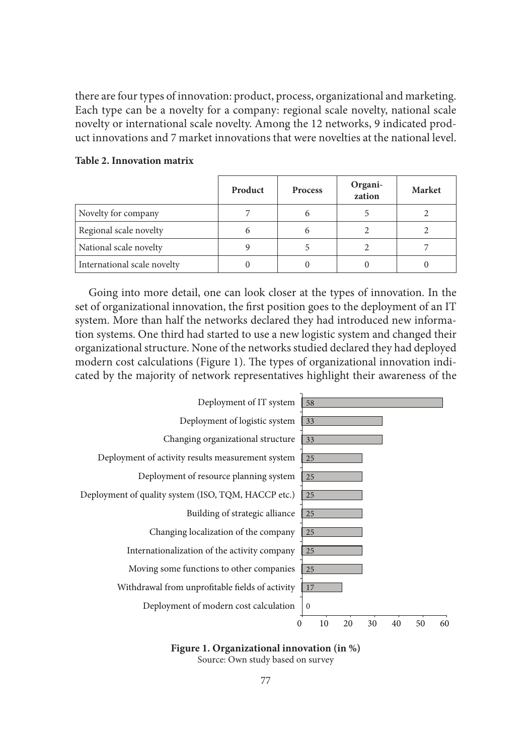there are four types of innovation: product, process, organizational and marketing. Each type can be a novelty for a company: regional scale novelty, national scale novelty or international scale novelty. Among the 12 networks, 9 indicated product innovations and 7 market innovations that were novelties at the national level.

|                             | Product | <b>Process</b> | Organi-<br>zation | Market |
|-----------------------------|---------|----------------|-------------------|--------|
| Novelty for company         |         | h              |                   |        |
| Regional scale novelty      | 6       | 6              |                   |        |
| National scale novelty      |         |                |                   |        |
| International scale novelty |         |                |                   |        |

#### **Table 2. Innovation matrix**

Going into more detail, one can look closer at the types of innovation. In the set of organizational innovation, the first position goes to the deployment of an IT system. More than half the networks declared they had introduced new information systems. One third had started to use a new logistic system and changed their organizational structure. None of the networks studied declared they had deployed modern cost calculations (Figure 1). The types of organizational innovation indicated by the majority of network representatives highlight their awareness of the



### **Figure 1. Organizational innovation (in %)**

Source: Own study based on survey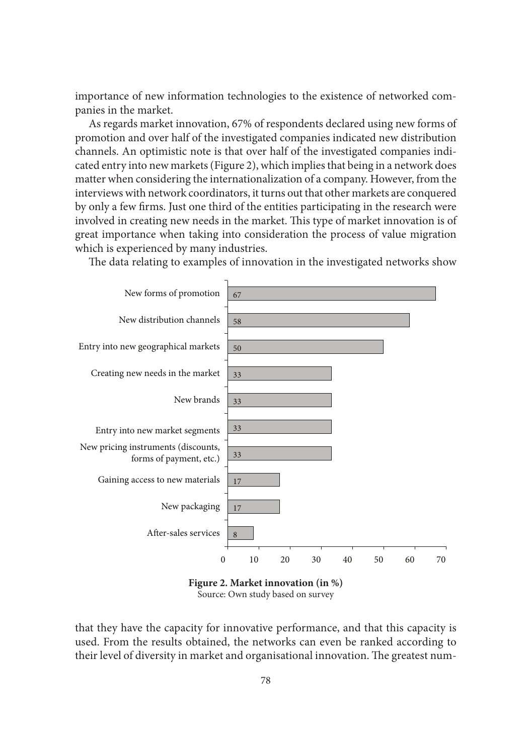importance of new information technologies to the existence of networked companies in the market.

As regards market innovation, 67% of respondents declared using new forms of promotion and over half of the investigated companies indicated new distribution channels. An optimistic note is that over half of the investigated companies indicated entry into new markets (Figure 2), which implies that being in a network does matter when considering the internationalization of a company. However, from the interviews with network coordinators, it turns out that other markets are conquered by only a few firms. Just one third of the entities participating in the research were involved in creating new needs in the market. This type of market innovation is of great importance when taking into consideration the process of value migration which is experienced by many industries.



The data relating to examples of innovation in the investigated networks show

Source: Own study based on survey

that they have the capacity for innovative performance, and that this capacity is used. From the results obtained, the networks can even be ranked according to their level of diversity in market and organisational innovation. The greatest num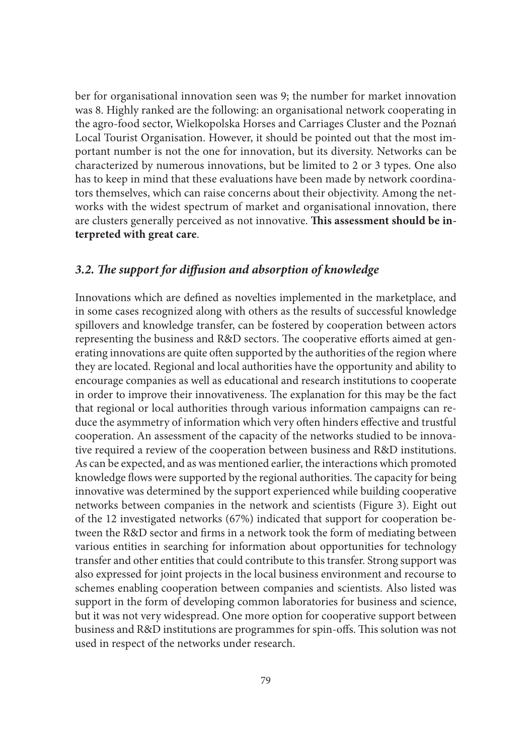ber for organisational innovation seen was 9; the number for market innovation was 8. Highly ranked are the following: an organisational network cooperating in the agro-food sector, Wielkopolska Horses and Carriages Cluster and the Poznań Local Tourist Organisation. However, it should be pointed out that the most important number is not the one for innovation, but its diversity. Networks can be characterized by numerous innovations, but be limited to 2 or 3 types. One also has to keep in mind that these evaluations have been made by network coordinators themselves, which can raise concerns about their objectivity. Among the networks with the widest spectrum of market and organisational innovation, there are clusters generally perceived as not innovative. This assessment should be in**terpreted with great care**.

### 3.2. The support for diffusion and absorption of knowledge

Innovations which are defined as novelties implemented in the marketplace, and in some cases recognized along with others as the results of successful knowledge spillovers and knowledge transfer, can be fostered by cooperation between actors representing the business and R&D sectors. The cooperative efforts aimed at generating innovations are quite often supported by the authorities of the region where they are located. Regional and local authorities have the opportunity and ability to encourage companies as well as educational and research institutions to cooperate in order to improve their innovativeness. The explanation for this may be the fact that regional or local authorities through various information campaigns can reduce the asymmetry of information which very often hinders effective and trustful cooperation. An assessment of the capacity of the networks studied to be innovative required a review of the cooperation between business and R&D institutions. As can be expected, and as was mentioned earlier, the interactions which promoted knowledge flows were supported by the regional authorities. The capacity for being innovative was determined by the support experienced while building cooperative networks between companies in the network and scientists (Figure 3). Eight out of the 12 investigated networks (67%) indicated that support for cooperation between the R&D sector and firms in a network took the form of mediating between various entities in searching for information about opportunities for technology transfer and other entities that could contribute to this transfer. Strong support was also expressed for joint projects in the local business environment and recourse to schemes enabling cooperation between companies and scientists. Also listed was support in the form of developing common laboratories for business and science, but it was not very widespread. One more option for cooperative support between business and R&D institutions are programmes for spin-offs. This solution was not used in respect of the networks under research.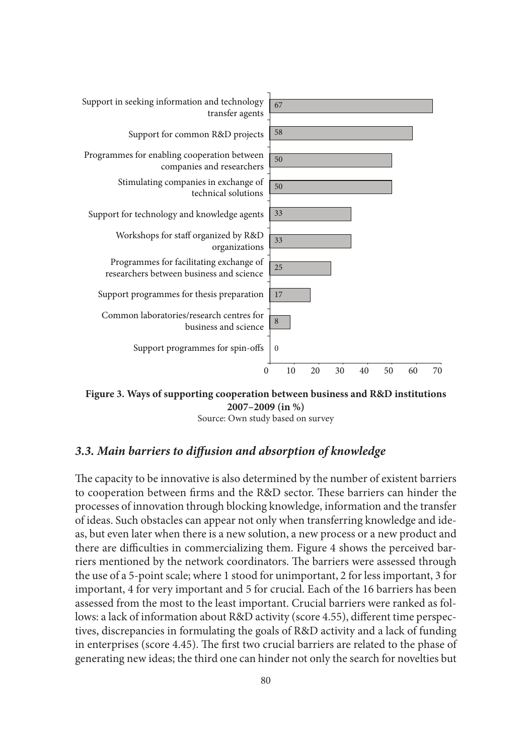

**Figure 3. Ways of supporting cooperation between business and R&D institutions 2007–2009 (in %)**

## *3.3. Main barriers to diff usion and absorption of knowledge*

The capacity to be innovative is also determined by the number of existent barriers to cooperation between firms and the R&D sector. These barriers can hinder the processes of innovation through blocking knowledge, information and the transfer of ideas. Such obstacles can appear not only when transferring knowledge and ideas, but even later when there is a new solution, a new process or a new product and there are difficulties in commercializing them. Figure 4 shows the perceived barriers mentioned by the network coordinators. The barriers were assessed through the use of a 5-point scale; where 1 stood for unimportant, 2 for less important, 3 for important, 4 for very important and 5 for crucial. Each of the 16 barriers has been assessed from the most to the least important. Crucial barriers were ranked as follows: a lack of information about R&D activity (score 4.55), different time perspectives, discrepancies in formulating the goals of R&D activity and a lack of funding in enterprises (score 4.45). The first two crucial barriers are related to the phase of generating new ideas; the third one can hinder not only the search for novelties but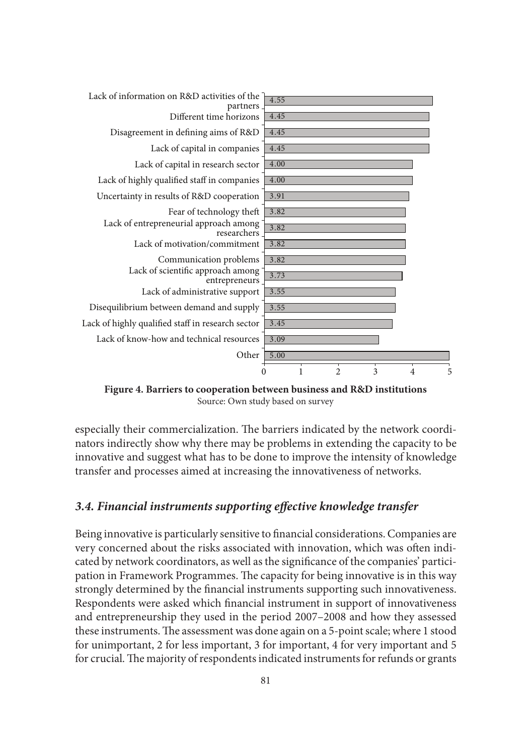

**Figure 4. Barriers to cooperation between business and R&D institutions** Source: Own study based on survey

especially their commercialization. The barriers indicated by the network coordinators indirectly show why there may be problems in extending the capacity to be innovative and suggest what has to be done to improve the intensity of knowledge transfer and processes aimed at increasing the innovativeness of networks.

### *3.4. Financial instruments supporting eff ective knowledge transfer*

Being innovative is particularly sensitive to financial considerations. Companies are very concerned about the risks associated with innovation, which was often indicated by network coordinators, as well as the significance of the companies' participation in Framework Programmes. The capacity for being innovative is in this way strongly determined by the financial instruments supporting such innovativeness. Respondents were asked which financial instrument in support of innovativeness and entrepreneurship they used in the period 2007–2008 and how they assessed these instruments. The assessment was done again on a 5-point scale; where 1 stood for unimportant, 2 for less important, 3 for important, 4 for very important and 5 for crucial. The majority of respondents indicated instruments for refunds or grants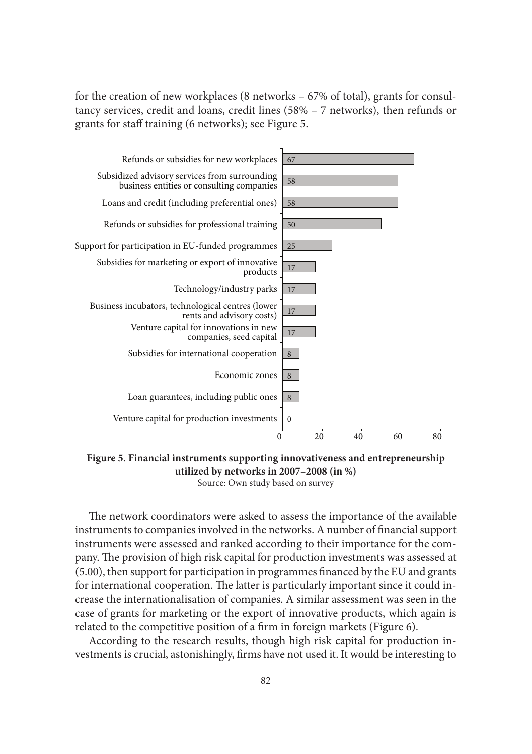for the creation of new workplaces (8 networks – 67% of total), grants for consultancy services, credit and loans, credit lines (58% – 7 networks), then refunds or grants for staff training (6 networks); see Figure 5.



**Figure 5. Financial instruments supporting innovativeness and entrepreneurship utilized by networks in 2007–2008 (in %)** Source: Own study based on survey

The network coordinators were asked to assess the importance of the available instruments to companies involved in the networks. A number of financial support instruments were assessed and ranked according to their importance for the company. The provision of high risk capital for production investments was assessed at  $(5.00)$ , then support for participation in programmes financed by the EU and grants for international cooperation. The latter is particularly important since it could increase the internationalisation of companies. A similar assessment was seen in the case of grants for marketing or the export of innovative products, which again is related to the competitive position of a firm in foreign markets (Figure 6).

According to the research results, though high risk capital for production investments is crucial, astonishingly, firms have not used it. It would be interesting to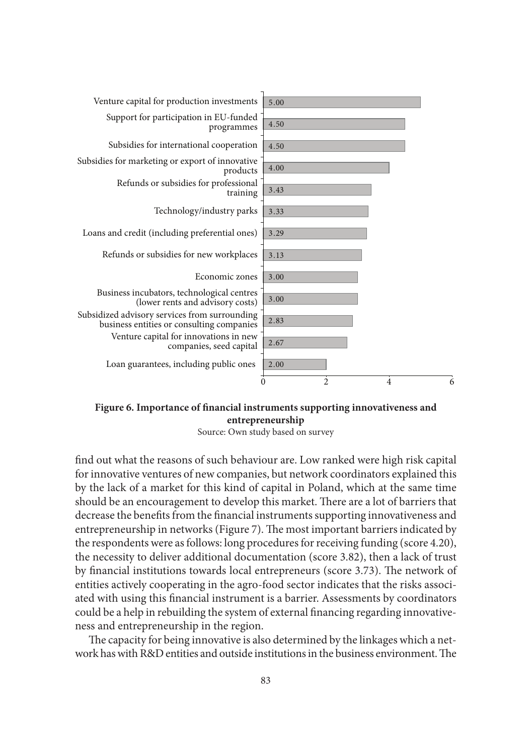

Figure 6. Importance of financial instruments supporting innovativeness and **entrepreneurship**

find out what the reasons of such behaviour are. Low ranked were high risk capital for innovative ventures of new companies, but network coordinators explained this by the lack of a market for this kind of capital in Poland, which at the same time should be an encouragement to develop this market. There are a lot of barriers that decrease the benefits from the financial instruments supporting innovativeness and entrepreneurship in networks (Figure 7). The most important barriers indicated by the respondents were as follows: long procedures for receiving funding (score 4.20), the necessity to deliver additional documentation (score 3.82), then a lack of trust by financial institutions towards local entrepreneurs (score 3.73). The network of entities actively cooperating in the agro-food sector indicates that the risks associated with using this financial instrument is a barrier. Assessments by coordinators could be a help in rebuilding the system of external financing regarding innovativeness and entrepreneurship in the region.

The capacity for being innovative is also determined by the linkages which a network has with  $R\&D$  entities and outside institutions in the business environment. The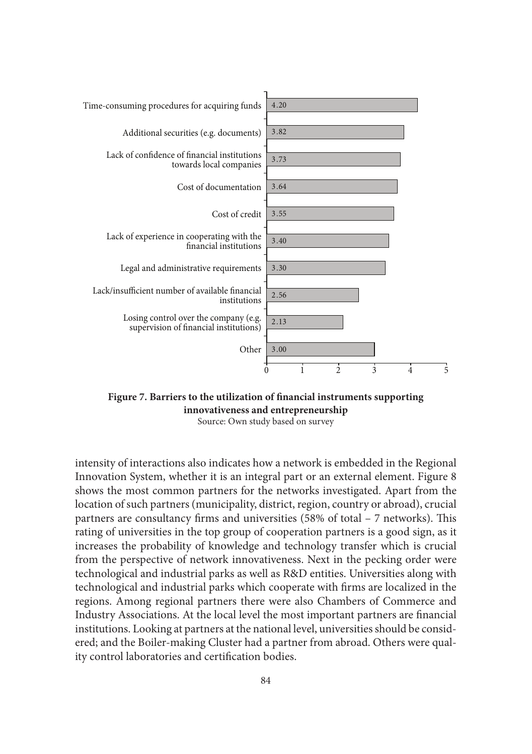

Figure 7. Barriers to the utilization of financial instruments supporting **innovativeness and entrepreneurship**

intensity of interactions also indicates how a network is embedded in the Regional Innovation System, whether it is an integral part or an external element. Figure 8 shows the most common partners for the networks investigated. Apart from the location of such partners (municipality, district, region, country or abroad), crucial partners are consultancy firms and universities  $(58\% \text{ of total } -7 \text{ networks})$ . This rating of universities in the top group of cooperation partners is a good sign, as it increases the probability of knowledge and technology transfer which is crucial from the perspective of network innovativeness. Next in the pecking order were technological and industrial parks as well as R&D entities. Universities along with technological and industrial parks which cooperate with firms are localized in the regions. Among regional partners there were also Chambers of Commerce and Industry Associations. At the local level the most important partners are financial institutions. Looking at partners at the national level, universities should be considered; and the Boiler-making Cluster had a partner from abroad. Others were quality control laboratories and certification bodies.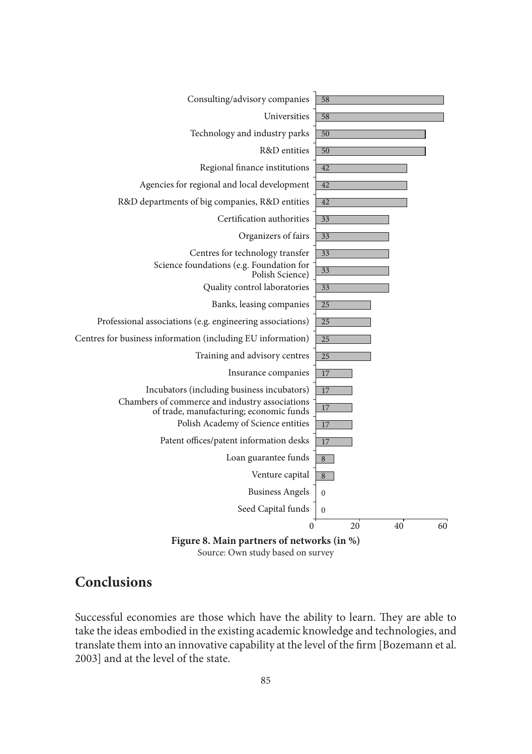

# **Conclusions**

Successful economies are those which have the ability to learn. They are able to take the ideas embodied in the existing academic knowledge and technologies, and translate them into an innovative capability at the level of the firm [Bozemann et al. 2003] and at the level of the state.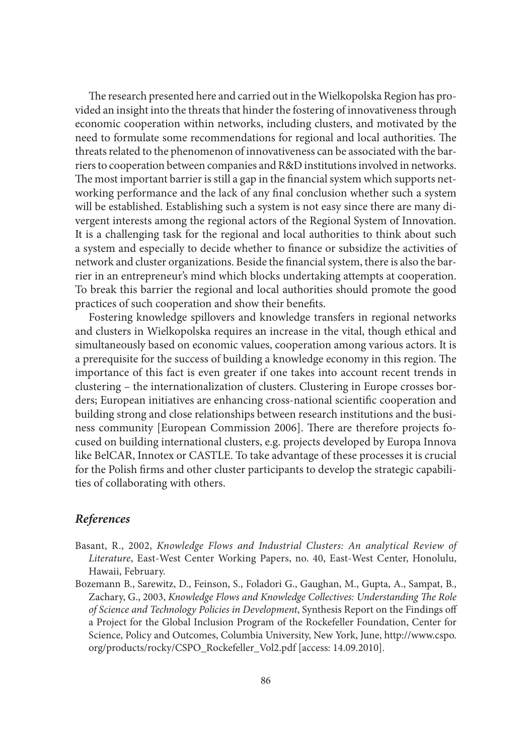The research presented here and carried out in the Wielkopolska Region has provided an insight into the threats that hinder the fostering of innovativeness through economic cooperation within networks, including clusters, and motivated by the need to formulate some recommendations for regional and local authorities. The threats related to the phenomenon of innovativeness can be associated with the barriers to cooperation between companies and R&D institutions involved in networks. The most important barrier is still a gap in the financial system which supports networking performance and the lack of any final conclusion whether such a system will be established. Establishing such a system is not easy since there are many divergent interests among the regional actors of the Regional System of Innovation. It is a challenging task for the regional and local authorities to think about such a system and especially to decide whether to finance or subsidize the activities of network and cluster organizations. Beside the financial system, there is also the barrier in an entrepreneur's mind which blocks undertaking attempts at cooperation. To break this barrier the regional and local authorities should promote the good practices of such cooperation and show their benefits.

Fostering knowledge spillovers and knowledge transfers in regional networks and clusters in Wielkopolska requires an increase in the vital, though ethical and simultaneously based on economic values, cooperation among various actors. It is a prerequisite for the success of building a knowledge economy in this region. The importance of this fact is even greater if one takes into account recent trends in clustering – the internationalization of clusters. Clustering in Europe crosses borders; European initiatives are enhancing cross-national scientific cooperation and building strong and close relationships between research institutions and the business community [European Commission 2006]. There are therefore projects focused on building international clusters, e.g. projects developed by Europa Innova like BelCAR, Innotex or CASTLE. To take advantage of these processes it is crucial for the Polish firms and other cluster participants to develop the strategic capabilities of collaborating with others.

### *References*

- Basant, R., 2002, *Knowledge Flows and Industrial Clusters: An analytical Review of Literature*, East-West Center Working Papers, no. 40, East-West Center, Honolulu, Hawaii, February.
- Bozemann B., Sarewitz, D., Feinson, S., Foladori G., Gaughan, M., Gupta, A., Sampat, B., Zachary, G., 2003, *Knowledge Flows and Knowledge Collectives: Understanding The Role of Science and Technology Policies in Development*, Synthesis Report on the Findings off a Project for the Global Inclusion Program of the Rockefeller Foundation, Center for Science, Policy and Outcomes, Columbia University, New York, June, http://www.cspo. org/products/rocky/CSPO\_Rockefeller\_Vol2.pdf [access: 14.09.2010].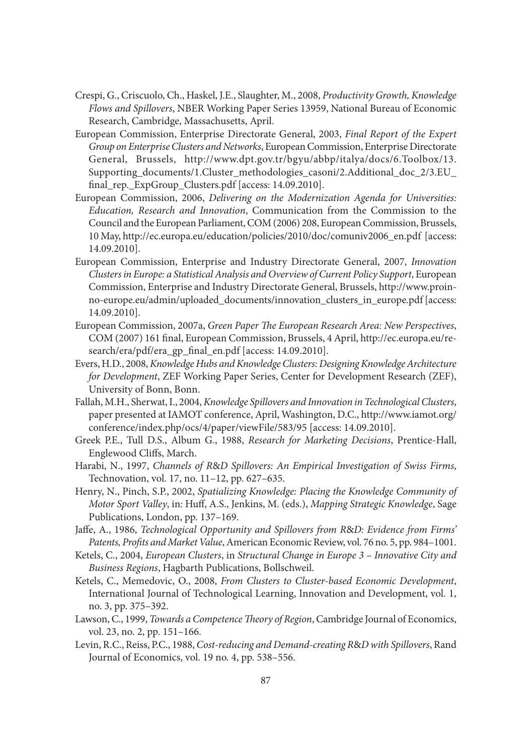- Crespi, G., Criscuolo, Ch., Haskel, J.E., Slaughter, M., 2008, *Productivity Growth, Knowledge Flows and Spillovers*, NBER Working Paper Series 13959, National Bureau of Economic Research, Cambridge, Massachusetts, April.
- European Commission, Enterprise Directorate General, 2003, *Final Report of the Expert Group on Enterprise Clusters and Networks*, European Commission, Enterprise Directorate General, Brussels, http://www.dpt.gov.tr/bgyu/abbp/italya/docs/6.Toolbox/13. Supporting\_documents/1.Cluster\_methodologies\_casoni/2.Additional\_doc\_2/3.EU\_ final rep. ExpGroup Clusters.pdf [access:  $14.09.2010$ ].
- European Commission, 2006, *Delivering on the Modernization Agenda for Universities: Education, Research and Innovation*, Communication from the Commission to the Council and the European Parliament, COM (2006) 208, European Commission, Brussels, 10 May, http://ec.europa.eu/education/policies/2010/doc/comuniv2006\_en.pdf [access: 14.09.2010].
- European Commission, Enterprise and Industry Directorate General, 2007, *Innovation Clusters in Europe: a Statistical Analysis and Overview of Current Policy Support*, European Commission, Enterprise and Industry Directorate General, Brussels, http://www.proinno-europe.eu/admin/uploaded\_documents/innovation\_clusters\_in\_europe.pdf [access: 14.09.2010].
- European Commission, 2007a, *Green Paper The European Research Area: New Perspectives*, COM (2007) 161 final, European Commission, Brussels, 4 April, http://ec.europa.eu/research/era/pdf/era\_gp\_final\_en.pdf [access: 14.09.2010].
- Evers, H.D., 2008, *Knowledge Hubs and Knowledge Clusters: Designing Knowledge Architecture for Development*, ZEF Working Paper Series, Center for Development Research (ZEF), University of Bonn, Bonn.
- Fallah, M.H., Sherwat, I., 2004, *Knowledge Spillovers and Innovation in Technological Clusters*, paper presented at IAMOT conference, April, Washington, D.C., http://www.iamot.org/ conference/index.php/ocs/4/paper/viewFile/583/95 [access: 14.09.2010].
- Greek P.E., Tull D.S., Album G., 1988, *Research for Marketing Decisions*, Prentice-Hall, Englewood Cliffs, March.
- Harabi, N., 1997, *Channels of R*&*D Spillovers: An Empirical Investigation of Swiss Firms*, Technovation, vol. 17, no. 11–12, pp. 627–635.
- Henry, N., Pinch, S.P., 2002, *Spatializing Knowledge: Placing the Knowledge Community of Motor Sport Valley*, in: Huff , A.S., Jenkins, M. (eds.), *Mapping Strategic Knowledge*, Sage Publications, London, pp. 137–169.
- Jaffe, A., 1986, *Technological Opportunity and Spillovers from R&D: Evidence from Firms'* Patents, Profits and Market Value, American Economic Review, vol. 76 no. 5, pp. 984–1001.
- Ketels, C., 2004, *European Clusters*, in *Structural Change in Europe 3 Innovative City and Business Regions*, Hagbarth Publications, Bollschweil.
- Ketels, C., Memedovic, O., 2008, *From Clusters to Cluster-based Economic Development*, International Journal of Technological Learning, Innovation and Development, vol. 1, no. 3, pp. 375–392.
- Lawson, C., 1999, *Towards a Competence Theory of Region*, Cambridge Journal of Economics, vol. 23, no. 2, pp. 151–166.
- Levin, R.C., Reiss, P.C., 1988, *Cost-reducing and Demand-creating R*&*D with Spillovers*, Rand Journal of Economics, vol. 19 no. 4, pp. 538–556.